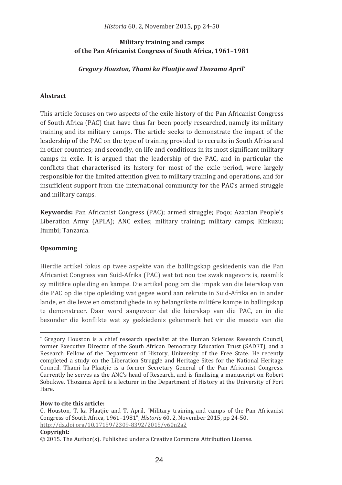# **Military training and camps** of the Pan Africanist Congress of South Africa, 1961-1981

Gregory Houston, Thami ka Plaatjie and Thozama April\*

# **Abstract**

This article focuses on two aspects of the exile history of the Pan Africanist Congress of South Africa (PAC) that have thus far been poorly researched, namely its military training and its military camps. The article seeks to demonstrate the impact of the leadership of the PAC on the type of training provided to recruits in South Africa and in other countries; and secondly, on life and conditions in its most significant military camps in exile. It is argued that the leadership of the PAC, and in particular the conflicts that characterised its history for most of the exile period, were largely responsible for the limited attention given to military training and operations, and for insufficient support from the international community for the PAC's armed struggle and military camps.

Keywords: Pan Africanist Congress (PAC): armed struggle: Pogo: Azanian People's Liberation Army (APLA); ANC exiles; military training; military camps; Kinkuzu; Itumbi; Tanzania.

# Opsomming

Hierdie artikel fokus op twee aspekte van die ballingskap geskiedenis van die Pan Africanist Congress van Suid-Afrika (PAC) wat tot nou toe swak nagevors is, naamlik sy militêre opleiding en kampe. Die artikel poog om die impak van die leierskap van die PAC op die tipe opleiding wat gegee word aan rekrute in Suid-Afrika en in ander lande, en die lewe en omstandighede in sy belangrikste militêre kampe in ballingskap te demonstreer. Daar word aangevoer dat die leierskap van die PAC, en in die besonder die konflikte wat sy geskiedenis gekenmerk het vir die meeste van die

### How to cite this article:

### Copyright:

<sup>\*</sup> Gregory Houston is a chief research specialist at the Human Sciences Research Council. former Executive Director of the South African Democracy Education Trust (SADET), and a Research Fellow of the Department of History, University of the Free State. He recently completed a study on the Liberation Struggle and Heritage Sites for the National Heritage Council. Thami ka Plaatiie is a former Secretary General of the Pan Africanist Congress. Currently he serves as the ANC's head of Research, and is finalising a manuscript on Robert Sobukwe. Thozama April is a lecturer in the Department of History at the University of Fort Hare.

G. Houston, T. ka Plaatjie and T. April, "Military training and camps of the Pan Africanist Congress of South Africa, 1961–1981", Historia 60, 2. November 2015, pp 24-50. http://dx.doi.org/10.17159/2309-8392/2015/v60n2a2

 $\odot$  2015. The Author(s). Published under a Creative Commons Attribution License.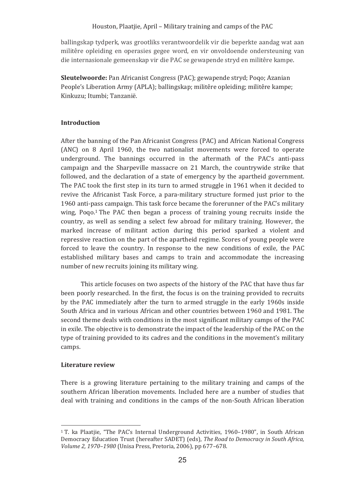ballingskap tydperk, was grootliks verantwoordelik vir die beperkte aandag wat aan militere opielaing en operasies gegee word, en vir onvoldoende ondersteuning van die internasionale gemeenskap vir die PAC se gewapende stryd en militere kampe.

**Sleutelwoorde:** Pan Africanist Congress (PAC); gewapende stryd; Poqo; Azanian People's Liberation Army (APLA); ballingskap; militere opleiding; militere kampe; Kinkuzu; Itumbi; Tanzanie.

# **Introduction�**

After the banning of the Pan Africanist Congress (PAC) and African National Congress (ANC) on 8 April 1960, the two nationalist movements were forced to operate underground. The bannings occurred in the aftermath of the PAC's anti-pass campaign and the Sharpeville massacre on 21 March, the countrywide strike that followed, and the declaration of a state of emergency by the apartheid government. The PAC took the first step in its turn to armed struggle in 1961 when it decided to revive the Africanist Task Force, a para-military structure formed just prior to the 1960 anti-pass campaign. This task force became the forerunner of the PAC's military wing, Poqo.<sup>1</sup>The PAC then began a process of training young recruits inside the country, as well as sending a select few abroad for military training. However, the marked increase of militant action during this period sparked a violent and repressive reaction on the part of the apartheid regime. Scores of young people were forced to leave the country. In response to the new conditions of exile, the PAC established military bases and camps to train and accommodate the increasing number of new recruits joining its military wing.

This article focuses on two aspects of the history of the PAC that have thus far been poorly researched. In the first, the focus is on the training provided to recruits by the PAC immediately after the turn to armed struggle in the early 1960s inside South Africa and in various African and other countries between 1960 and 1981. The second theme deals with conditions in the most significant military camps of the PAC in exile. The objective is to demonstrate the impact of the leadership of the PAC on the type of training provided to its cadres and the conditions in the movement's military camps.

# **Literature review**

There is a growing literature pertaining to the military training and camps of the southern African liberation movements. Included here are a number of studies that deal with training and conditions in the camps of the non-South African liberation

<sup>&</sup>lt;u> 1989 - Johann Stein, mars an t-Amerikaansk kommunister (</u> <sup>1</sup>T. ka Plaatjie, "The PAC's Internal Underground Activities, 1960–1980", in South African Democracy Education Trust (hereafter SADET) (eds), The Road to Democracy in South Africa, *Volume 2, 1970–1980* (Unisa Press, Pretoria, 2006), pp 677–678.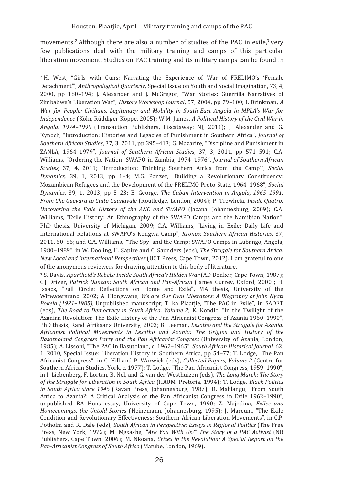movements.<sup>2</sup> Although there are also a number of studies of the PAC in exile,<sup>3</sup> very few publications deal with the military training and camps of this particular liberation movement. Studies on PAC training and its military camps can be found in

<sup>2</sup> H. West, "Girls with Guns: Narrating the Experience of War of FRELIMO's 'Female Detachment", Anthropological Quarterly, Special Issue on Youth and Social Imagination, 73, 4. 2000, pp 180-194: J. Alexander and J. McGregor, "War Stories: Guerrilla Narratives of Zimbabwe's Liberation War", History Workshop Journal, 57, 2004, pp 79-100; I. Brinkman, A War for People: Civilians, Legitimacy and Mobility in South-East Angola in MPLA's War for Independence (Köln, Rüddiger Köppe, 2005); W.M. James, A Political History of the Civil War in Angola: 1974–1990 (Transaction Publishers, Piscataway; NJ, 2011); J. Alexander and G. Kynoch, "Introduction: Histories and Legacies of Punishment in Southern Africa", Journal of Southern African Studies, 37, 3, 2011, pp 395–413; G. Mazarire, "Discipline and Punishment in ZANLA, 1964-1979", Journal of Southern African Studies, 37, 3, 2011, pp 571-591; C.A. Williams, "Ordering the Nation: SWAPO in Zambia, 1974-1976", Journal of Southern African Studies, 37, 4, 2011; "Introduction: Thinking Southern Africa from 'the Camp'", Social Dynamics, 39, 1, 2013, pp 1-4; M.G. Panzer, "Building a Revolutionary Constituency: Mozambican Refugees and the Development of the FRELIMO Proto-State, 1964-1968". Social Dynamics, 39, 1, 2013, pp 5-23; E. George, The Cuban Intervention in Angola, 1965-1991: From Che Guevara to Cuito Cuanavale (Routledge, London, 2004); P. Trewhela, Inside Quatro: Uncovering the Exile History of the ANC and SWAPO (Jacana, Johannesburg, 2009); C.A. Williams. "Exile History: An Ethnography of the SWAPO Camps and the Namibian Nation". PhD thesis, University of Michigan, 2009; C.A. Williams, "Living in Exile: Daily Life and International Relations at SWAPO's Kongwa Camp", Kronos: Southern African Histories, 37, 2011, 60-86; and C.A. Williams, "The Spy' and the Camp; SWAPO Camps in Lubango, Angola. 1980–1989", in W. Dooling, H. Sapire and C. Saunders (eds), The Struggle for Southern Africa: New Local and International Perspectives (UCT Press, Cape Town, 2012). I am grateful to one of the anonymous reviewers for drawing attention to this body of literature.

<sup>3</sup> S. Davis, Apartheid's Rebels: Inside South Africa's Hidden War (AD Donker, Cape Town, 1987): C.J Driver, Patrick Duncan: South African and Pan-African (James Currey, Oxford, 2000); H. Isaacs. "Full Circle: Reflections on Home and Exile". MA thesis. University of the Witwatersrand, 2002; A. Hlongwane, We are Our Own Liberators: A Bioaraphy of John Nyati Pokela (1921-1985), Unpublished manuscript; T. ka Plaatjie, "The PAC in Exile", in SADET (eds), The Road to Democracy in South Africa, Volume 2; K. Kondlo, "In the Twilight of the Azanian Revolution: The Exile History of the Pan-Africanist Congress of Azania 1960-1990", PhD thesis, Rand Afrikaans University, 2003; B. Leeman, Lesotho and the Struggle for Azania. Africanist Political Movements in Lesotho and Azania: The Origins and History of the Basotholand Conaress Party and the Pan Africanist Conaress (University of Azania, London, 1985); A. Lissoni, "The PAC in Basutoland, c. 1962-1965", South African Historical Journal, 62, 1, 2010, Special Issue: Liberation History in Southern Africa, pp 54–77; T. Lodge, "The Pan Africanist Congress", in C. Hill and P. Warwick (eds), Collected Papers, Volume 2 (Centre for Southern African Studies, York. c. 1977): T. Lodge. "The Pan-Africanist Congress, 1959-1990". in I. Liebenberg, F. Lortan, B. Nel, and G. van der Westhuizen (eds). The Long March: The Story of the Struggle for Liberation in South Africa (HAUM, Pretoria, 1994); T. Lodge, Black Politics in South Africa since 1945 (Ravan Press, Johannesburg, 1987); D. Mahlangu, "From South Africa to Azania?: A Critical Analysis of the Pan Africanist Congress in Exile 1962-1990", unpublished BA Hons essay, University of Cape Town, 1990; Z. Majodina, Exiles and Homecomings: the Untold Stories (Heinemann, Johannesburg, 1995); J. Marcum, "The Exile Condition and Revolutionary Effectiveness: Southern African Liberation Movements", in C.P. Potholm and R. Dale (eds), South African in Perspective: Essays in Regional Politics (The Free Press, New York, 1972); M. Mgxashe, "Are You With Us?" The Story of a PAC Activist (NB Publishers. Cape Town. 2006): M. Nkoana. Crises in the Revolution: A Special Report on the Pan-Africanist Congress of South Africa (Mafube, London, 1969).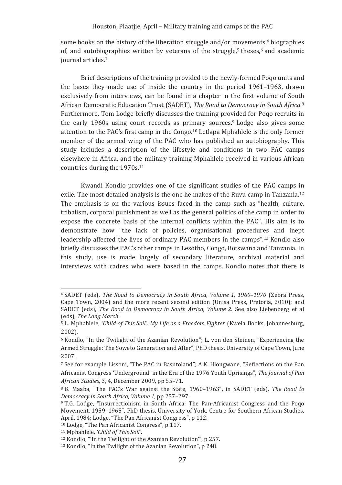some books on the history of the liberation struggle and/or movements,<sup>4</sup> biographies of, and autobiographies written by veterans of the struggle,<sup>5</sup> theses,<sup>6</sup> and academic iournal articles.<sup>7</sup>

Brief descriptions of the training provided to the newly-formed Pogo units and the bases they made use of inside the country in the period 1961–1963, drawn exclusively from interviews, can be found in a chapter in the first volume of South African Democratic Education Trust (SADET). The Road to Democracy in South Africa.<sup>8</sup> Furthermore, Tom Lodge briefly discusses the training provided for Pogo recruits in the early 1960s using court records as primary sources.<sup>9</sup> Lodge also gives some attention to the PAC's first camp in the Congo.<sup>10</sup> Letlapa Mphahlele is the only former member of the armed wing of the PAC who has published an autobiography. This study includes a description of the lifestyle and conditions in two PAC camps elsewhere in Africa, and the military training Mphahlele received in various African countries during the 1970s.<sup>11</sup>

Kwandi Kondlo provides one of the significant studies of the PAC camps in exile. The most detailed analysis is the one he makes of the Ruvu camp in Tanzania.<sup>12</sup> The emphasis is on the various issues faced in the camp such as "health, culture, tribalism, corporal punishment as well as the general politics of the camp in order to expose the concrete basis of the internal conflicts within the PAC". His aim is to demonstrate how "the lack of policies, organisational procedures and inept leadership affected the lives of ordinary PAC members in the camps".<sup>13</sup> Kondlo also briefly discusses the PAC's other camps in Lesotho, Congo, Botswana and Tanzania. In this study, use is made largely of secondary literature, archival material and interviews with cadres who were based in the camps. Kondlo notes that there is

<sup>&</sup>lt;sup>4</sup> SADET (eds), *The Road to Democracy in South Africa, Volume 1, 1960-1970* (Zebra Press, Cape Town, 2004) and the more recent second edition (Unisa Press, Pretoria, 2010); and SADET (eds). The Road to Democracy in South Africa. Volume 2. See also Liebenberg et al. (eds), The Long March.

<sup>&</sup>lt;sup>5</sup> L. Mphahlele, 'Child of This Soil': My Life as a Freedom Fighter (Kwela Books, Johannesburg,  $2002$ .

<sup>&</sup>lt;sup>6</sup> Kondlo, "In the Twilight of the Azanian Revolution"; L. von den Steinen, "Experiencing the Armed Struggle: The Soweto Generation and After". PhD thesis. University of Cape Town. June 2007.

<sup>&</sup>lt;sup>7</sup> See for example Lissoni, "The PAC in Basutoland"; A.K. Hlongwane, "Reflections on the Pan Africanist Congress 'Underground' in the Era of the 1976 Youth Uprisings", The Journal of Pan African Studies, 3, 4, December 2009, pp 55-71.

<sup>&</sup>lt;sup>8</sup> B. Maaba, "The PAC's War against the State, 1960-1963", in SADET (eds), The Road to Democracy in South Africa, Volume 1, pp 257-297.

<sup>&</sup>lt;sup>9</sup> T.G. Lodge, "Insurrectionism in South Africa: The Pan-Africanist Congress and the Pogo Movement, 1959-1965", PhD thesis, University of York, Centre for Southern African Studies, April, 1984; Lodge, "The Pan Africanist Congress", p 112.

<sup>&</sup>lt;sup>10</sup> Lodge, "The Pan Africanist Congress", p 117.

<sup>&</sup>lt;sup>11</sup> Mphahlele, 'Child of This Soil'.

<sup>&</sup>lt;sup>12</sup> Kondlo. "'In the Twilight of the Azanian Revolution'", p 257.

<sup>&</sup>lt;sup>13</sup> Kondlo, "In the Twilight of the Azanian Revolution", p 248.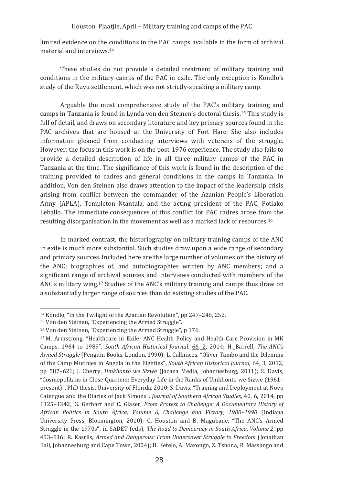limited evidence on the conditions in the PAC camps available in the form of archival material and interviews 14

These studies do not provide a detailed treatment of military training and conditions in the military camps of the PAC in exile. The only exception is Kondlo's study of the Ruvu settlement, which was not strictly-speaking a military camp.

Arguably the most comprehensive study of the PAC's military training and camps in Tanzania is found in Lynda von den Steinen's doctoral thesis.<sup>15</sup> This study is full of detail, and draws on secondary literature and key primary sources found in the PAC archives that are housed at the University of Fort Hare. She also includes information gleaned from conducting interviews with veterans of the struggle. However, the focus in this work is on the post-1976 experience. The study also fails to provide a detailed description of life in all three military camps of the PAC in Tanzania at the time. The significance of this work is found in the description of the training provided to cadres and general conditions in the camps in Tanzania. In addition. Von den Steinen also draws attention to the impact of the leadership crisis arising from conflict between the commander of the Azanian People's Liberation Army (APLA), Templeton Ntantala, and the acting president of the PAC, Potlako Leballo. The immediate consequences of this conflict for PAC cadres arose from the resulting disorganisation in the movement as well as a marked lack of resources.<sup>16</sup>

In marked contrast, the historiography on military training camps of the ANC in exile is much more substantial. Such studies draw upon a wide range of secondary and primary sources. Included here are the large number of volumes on the history of the ANC; biographies of, and autobiographies written by ANC members; and a significant range of archival sources and interviews conducted with members of the ANC's military wing.<sup>17</sup> Studies of the ANC's military training and camps thus draw on a substantially larger range of sources than do existing studies of the PAC.

<sup>&</sup>lt;sup>14</sup> Kondlo, "In the Twilight of the Azanian Revolution", pp 247-248, 252.

<sup>&</sup>lt;sup>15</sup> Von den Steinen, "Experiencing the Armed Struggle".

<sup>&</sup>lt;sup>16</sup> Von den Steinen, "Experiencing the Armed Struggle", p 176.

<sup>&</sup>lt;sup>17</sup> M. Armstrong, "Healthcare in Exile: ANC Health Policy and Health Care Provision in MK Camps, 1964 to 1989", South African Historical Journal, 66, 2, 2014; H. Barrell, The ANC's Armed Struggle (Penguin Books, London, 1990); L. Callinicos, "Oliver Tambo and the Dilemma of the Camp Mutinies in Angola in the Eighties", South African Historical Journal, 64, 3, 2012, pp 587-621; I. Cherry. Umkhonto we Sizwe (Jacana Media, Johannesburg, 2011); S. Davis. "Cosmopolitans in Close Quarters: Everyday Life in the Ranks of Umkhonto we Sizwe (1961– present)", PhD thesis, University of Florida, 2010; S. Davis, "Training and Deployment at Novo Catengue and the Diaries of Jack Simons", Journal of Southern African Studies, 40, 6, 2014, pp 1325-1342; G. Gerhart and C. Glaser, From Protest to Challenge: A Documentary History of African Politics in South Africa, Volume 6, Challenge and Victory, 1980-1990 (Indiana University Press, Bloomington, 2010); G. Houston and B. Magubane, "The ANC's Armed Struggle in the 1970s", in SADET (eds), The Road to Democracy in South Africa, Volume 2, pp 453-516; R. Kasrils, Armed and Dangerous: From Undercover Struggle to Freedom (Jonathan Ball, Johannesburg and Cape Town, 2004); B. Ketelo, A. Maxongo, Z. Tshona, R. Massango and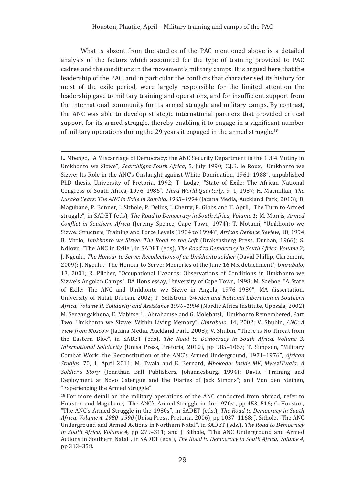What is absent from the studies of the PAC mentioned above is a detailed analysis of the factors which accounted for the type of training provided to PAC cadres and the conditions in the movement's military camps. It is argued here that the leadership of the PAC, and in particular the conflicts that characterised its history for most of the exile period, were largely responsible for the limited attention the leadership gave to military training and operations, and for insufficient support from the international community for its armed struggle and military camps. By contrast. the ANC was able to develop strategic international partners that provided critical support for its armed struggle, thereby enabling it to engage in a significant number of military operations during the 29 years it engaged in the armed struggle.<sup>18</sup>

L. Mbengo, "A Miscarriage of Democracy: the ANC Security Department in the 1984 Mutiny in Umkhonto we Sizwe", Searchlight South Africa, 5, July 1990; C.J.B. le Roux, "Umkhonto we Sizwe: Its Role in the ANC's Onslaught against White Domination, 1961–1988", unpublished PhD thesis, University of Pretoria, 1992; T. Lodge, "State of Exile: The African National Congress of South Africa, 1976-1986", Third World Quarterly, 9, 1, 1987; H. Macmillan, The Lusaka Years: The ANC in Exile in Zambia. 1963-1994 (Jacana Media, Auckland Park, 2013): B. Magubane, P. Bonner, J. Sithole, P. Delius, J. Cherry, P. Gibbs and T. April, "The Turn to Armed struggle", in SADET (eds), The Road to Democracy in South Africa, Volume 1; M. Morris, Armed Conflict in Southern Africa (Jeremy Spence, Cape Town, 1974); T. Motumi, "Umkhonto we Sizwe: Structure, Training and Force Levels (1984 to 1994)", African Defence Review, 18, 1994; B. Mtolo, Umkhonto we Sizwe: The Road to the Left (Drakensberg Press, Durban, 1966); S. Ndlovu, "The ANC in Exile", in SADET (eds), The Road to Democracy in South Africa, Volume 2; I. Ngculu, *The Honour to Serve: Recollections of an Umkhonto soldier* (David Phillip, Claremont, 2009); J. Ngculu, "The Honour to Serve: Memories of the June 16 MK detachment", Umrabulo, 13. 2001: R. Pilcher. "Occupational Hazards: Observations of Conditions in Umkhonto we Sizwe's Angolan Camps", BA Hons essay, University of Cape Town, 1998; M. Saeboe, "A State of Exile: The ANC and Umkhonto we Sizwe in Angola, 1976-1989", MA dissertation, University of Natal, Durban, 2002; T. Sellström, Sweden and National Liberation in Southern Africa, Volume II, Solidarity and Assistance 1970-1994 (Nordic Africa Institute, Uppsala, 2002); M. Senzangakhona, E. Mabitse, U. Abrahamse and G. Molebatsi, "Umkhonto Remembered, Part Two, Umkhonto we Sizwe: Within Living Memory", Umrabulo, 14, 2002; V. Shubin, ANC: A View from Moscow (Jacana Media, Auckland Park, 2008); V. Shubin, "There is No Threat from the Eastern Bloc", in SADET (eds), The Road to Democracy in South Africa, Volume 3, International Solidarity (Unisa Press, Pretoria, 2010), pp 985-1067; T. Simpson, "Military Combat Work: the Reconstitution of the ANC's Armed Underground, 1971-1976", African Studies, 70, 1, April 2011; M. Twala and E. Bernard, Mbokodo: Inside MK, MweziTwala: A Soldier's Story (Jonathan Ball Publishers, Johannesburg, 1994); Davis, "Training and Deployment at Novo Catengue and the Diaries of Jack Simons"; and Von den Steinen, "Experiencing the Armed Struggle".

<sup>18</sup> For more detail on the military operations of the ANC conducted from abroad, refer to Houston and Magubane, "The ANC's Armed Struggle in the 1970s", pp 453-516; G. Houston, "The ANC's Armed Struggle in the 1980s", in SADET (eds.), The Road to Democracy in South Africa, Volume 4, 1980-1990 (Unisa Press, Pretoria, 2006), pp 1037-1168; I. Sithole, "The ANC Underground and Armed Actions in Northern Natal", in SADET (eds.), The Road to Democracy in South Africa, Volume 4, pp 279-311; and J. Sithole, "The ANC Underground and Armed Actions in Southern Natal", in SADET (eds.). The Road to Democracy in South Africa, Volume 4. pp 313-358.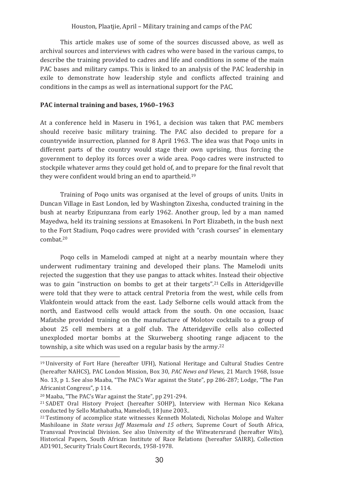This article makes use of some of the sources discussed above, as well as archival sources and interviews with cadres who were based in the various camps, to describe the training provided to cadres and life and conditions in some of the main PAC bases and military camps. This is linked to an analysis of the PAC leadership in exile to demonstrate how leadership style and conflicts affected training and conditions in the camps as well as international support for the PAC.

## PAC internal training and bases, 1960-1963

At a conference held in Maseru in 1961, a decision was taken that PAC members should receive basic military training. The PAC also decided to prepare for a countrywide insurrection, planned for 8 April 1963. The idea was that Pogo units in different parts of the country would stage their own uprising, thus forcing the government to deploy its forces over a wide area. Pogo cadres were instructed to stockpile whatever arms they could get hold of, and to prepare for the final revolt that they were confident would bring an end to apartheid.<sup>19</sup>

Training of Pogo units was organised at the level of groups of units. Units in Duncan Village in East London, led by Washington Zixesha, conducted training in the bush at nearby Ezipunzana from early 1962. Another group, led by a man named Mayedwa, held its training sessions at Emasokeni. In Port Elizabeth, in the bush next to the Fort Stadium, Poqo cadres were provided with "crash courses" in elementary  $comhat<sup>20</sup>$ 

Pogo cells in Mamelodi camped at night at a nearby mountain where they underwent rudimentary training and developed their plans. The Mamelodi units rejected the suggestion that they use pangas to attack whites. Instead their objective was to gain "instruction on bombs to get at their targets".<sup>21</sup> Cells in Atteridgeville were told that they were to attack central Pretoria from the west, while cells from Vlakfontein would attack from the east. Lady Selborne cells would attack from the north, and Eastwood cells would attack from the south. On one occasion, Isaac Mafatshe provided training on the manufacture of Molotov cocktails to a group of about 25 cell members at a golf club. The Atteridgeville cells also collected unexploded mortar bombs at the Skurweberg shooting range adiacent to the township, a site which was used on a regular basis by the army.<sup>22</sup>

<sup>&</sup>lt;sup>19</sup> University of Fort Hare (hereafter UFH). National Heritage and Cultural Studies Centre (hereafter NAHCS), PAC London Mission, Box 30, PAC News and Views, 21 March 1968, Issue No. 13, p 1. See also Maaba, "The PAC's War against the State", pp 286-287; Lodge, "The Pan Africanist Congress", p 114.

<sup>&</sup>lt;sup>20</sup> Maaba, "The PAC's War against the State", pp 291-294.

<sup>&</sup>lt;sup>21</sup> SADET Oral History Project (hereafter SOHP), Interview with Herman Nico Kekana conducted by Sello Mathabatha, Mamelodi, 18 June 2003.

<sup>&</sup>lt;sup>22</sup> Testimony of accomplice state witnesses Kenneth Molatedi, Nicholas Molope and Walter Mashiloane in State versus Jeff Masemula and 15 others, Supreme Court of South Africa, Transvaal Provincial Division. See also University of the Witwatersrand (hereafter Wits), Historical Papers. South African Institute of Race Relations (hereafter SAIRR). Collection AD1901, Security Trials Court Records, 1958-1978.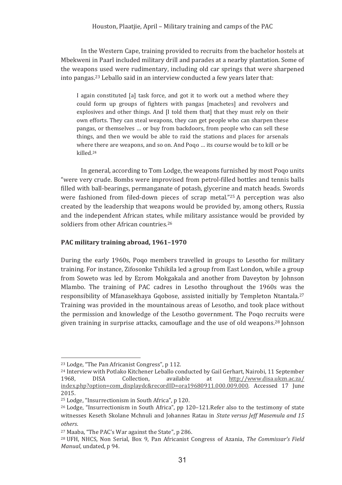In the Western Cape, training provided to recruits from the bachelor hostels at Mbekweni in Paarl included military drill and parades at a nearby plantation. Some of the weapons used were rudimentary, including old car springs that were sharpened into pangas.<sup>23</sup> Leballo said in an interview conducted a few vears later that:

I again constituted [a] task force, and got it to work out a method where they could form up groups of fighters with pangas [machetes] and revolvers and explosives and other things. And [I told them that] that they must rely on their own efforts. They can steal weapons, they can get people who can sharpen these pangas, or themselves ... or buy from backdoors, from people who can sell these things, and then we would be able to raid the stations and places for arsenals where there are weapons, and so on. And Pogo ... its course would be to kill or be killed.<sup>24</sup>

In general, according to Tom Lodge, the weapons furnished by most Pogo units "were very crude. Bombs were improvised from petrol-filled bottles and tennis balls filled with ball-bearings, permanganate of potash, glycerine and match heads. Swords were fashioned from filed-down pieces of scrap metal."25 A perception was also created by the leadership that weapons would be provided by, among others. Russia and the independent African states, while military assistance would be provided by soldiers from other African countries.<sup>26</sup>

# PAC military training abroad, 1961-1970

During the early 1960s, Poqo members travelled in groups to Lesotho for military training. For instance, Zifosonke Tshikila led a group from East London, while a group from Soweto was led by Ezrom Mokgakala and another from Daveyton by Johnson Mlambo. The training of PAC cadres in Lesotho throughout the 1960s was the responsibility of Mfanasekhava Goobose, assisted initially by Templeton Ntantala.<sup>27</sup> Training was provided in the mountainous areas of Lesotho, and took place without the permission and knowledge of the Lesotho government. The Poqo recruits were given training in surprise attacks, camouflage and the use of old weapons.<sup>28</sup> Johnson

<sup>&</sup>lt;sup>23</sup> Lodge, "The Pan Africanist Congress", p 112.

<sup>&</sup>lt;sup>24</sup> Interview with Potlako Kitchener Leballo conducted by Gail Gerhart, Nairobi, 11 September 1968. **DISA** Collection. available at http://www.disa.ukzn.ac.za/ index.php?option=com displaydc&recordID=ora19680911.000.009.000. Accessed 17 Iune 2015.

<sup>&</sup>lt;sup>25</sup> Lodge, "Insurrectionism in South Africa", p 120.

<sup>&</sup>lt;sup>26</sup> Lodge, "Insurrectionism in South Africa", pp 120-121. Refer also to the testimony of state witnesses Keseth Skolane Mchnuli and Johannes Ratau in State versus leff Masemula and 15 others.

<sup>&</sup>lt;sup>27</sup> Maaba, "The PAC's War against the State", p 286.

<sup>&</sup>lt;sup>28</sup> UFH. NHCS, Non Serial, Box 9, Pan Africanist Congress of Azania. The Commissar's Field Manual, undated, p 94.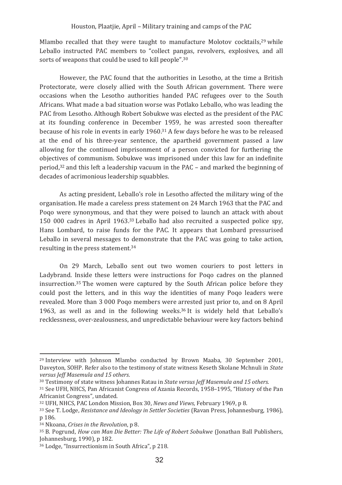Mlambo recalled that they were taught to manufacture Molotov cocktails,<sup>29</sup> while Leballo instructed PAC members to "collect pangas, revolvers, explosives, and all sorts of weapons that could be used to kill people".<sup>30</sup>

However, the PAC found that the authorities in Lesotho, at the time a British Protectorate, were closely allied with the South African government. There were occasions when the Lesotho authorities handed PAC refugees over to the South Africans. What made a bad situation worse was Potlako Leballo, who was leading the PAC from Lesotho. Although Robert Sobukwe was elected as the president of the PAC at its founding conference in December 1959, he was arrested soon thereafter because of his role in events in early 1960.<sup>31</sup> A few days before he was to be released at the end of his three-year sentence, the apartheid government passed a law allowing for the continued imprisonment of a person convicted for furthering the objectives of communism. Sobukwe was imprisoned under this law for an indefinite period, $32$  and this left a leadership vacuum in the PAC – and marked the beginning of decades of acrimonious leadership squabbles.

As acting president, Leballo's role in Lesotho affected the military wing of the organisation. He made a careless press statement on 24 March 1963 that the PAC and Pogo were synonymous, and that they were poised to launch an attack with about 150 000 cadres in April 1963.<sup>33</sup> Leballo had also recruited a suspected police spy, Hans Lombard, to raise funds for the PAC. It appears that Lombard pressurised Leballo in several messages to demonstrate that the PAC was going to take action, resulting in the press statement.<sup>34</sup>

On 29 March, Leballo sent out two women couriers to post letters in Ladybrand. Inside these letters were instructions for Pogo cadres on the planned insurrection.<sup>35</sup> The women were captured by the South African police before they could post the letters, and in this way the identities of many Pogo leaders were revealed. More than 3 000 Pogo members were arrested just prior to, and on 8 April 1963, as well as and in the following weeks.<sup>36</sup> It is widely held that Leballo's recklessness, over-zealousness, and unpredictable behaviour were key factors behind

<sup>&</sup>lt;sup>29</sup> Interview with Johnson Mlambo conducted by Brown Maaba, 30 September 2001, Daveyton, SOHP. Refer also to the testimony of state witness Keseth Skolane Mchnuli in State versus Jeff Masemula and 15 others.

<sup>&</sup>lt;sup>30</sup> Testimony of state witness Johannes Ratau in State versus Jeff Masemula and 15 others.

<sup>&</sup>lt;sup>31</sup> See UFH, NHCS, Pan Africanist Congress of Azania Records, 1958-1995, "History of the Pan Africanist Congress", undated.

<sup>&</sup>lt;sup>32</sup> UFH, NHCS, PAC London Mission, Box 30, News and Views, February 1969, p 8.

<sup>&</sup>lt;sup>33</sup> See T. Lodge, *Resistance and Ideology in Settler Societies* (Ravan Press, Johannesburg, 1986), p 186.

<sup>&</sup>lt;sup>34</sup> Nkoana, Crises in the Revolution, p 8.

<sup>&</sup>lt;sup>35</sup> B. Pogrund, *How can Man Die Better: The Life of Robert Sobukwe* (Jonathan Ball Publishers, Johannesburg, 1990), p 182.

<sup>&</sup>lt;sup>36</sup> Lodge, "Insurrectionism in South Africa", p 218.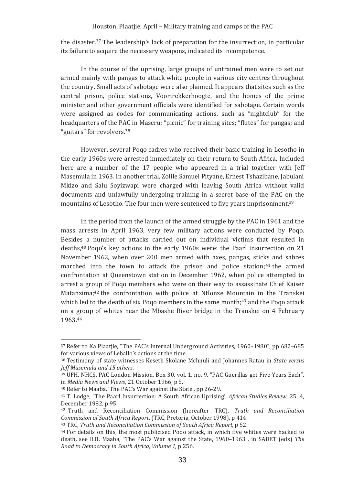the disaster.<sup>37</sup> The leadership's lack of preparation for the insurrection, in particular its failure to acquire the necessary weapons, indicated its incompetence.

In the course of the uprising, large groups of untrained men were to set out armed mainly with pangas to attack white people in various city centres throughout the country. Small acts of sabotage were also planned. It appears that sites such as the central prison, police stations, Voortrekkerhoogte, and the homes of the prime minister and other government officials were identified for sabotage. Certain words were assigned as codes for communicating actions, such as "nightclub" for the headquarters of the PAC in Maseru; "picnic" for training sites; "flutes" for pangas; and "guitars" for revolvers.<sup>38</sup>

However, several Pogo cadres who received their basic training in Lesotho in the early 1960s were arrested immediately on their return to South Africa. Included here are a number of the 17 people who appeared in a trial together with Jeff Masemula in 1963. In another trial, Zolile Samuel Pityane, Ernest Tshazibane, Jabulani Mkizo and Salu Sovizwapi were charged with leaving South Africa without valid documents and unlawfully undergoing training in a secret base of the PAC on the mountains of Lesotho. The four men were sentenced to five years imprisonment.<sup>39</sup>

In the period from the launch of the armed struggle by the PAC in 1961 and the mass arrests in April 1963, very few military actions were conducted by Poqo. Besides a number of attacks carried out on individual victims that resulted in deaths,<sup>40</sup> Pogo's key actions in the early 1960s were: the Paarl insurrection on 21 November 1962, when over 200 men armed with axes, pangas, sticks and sabres marched into the town to attack the prison and police station:<sup>41</sup> the armed confrontation at Queenstown station in December 1962, when police attempted to arrest a group of Pogo members who were on their way to assassinate Chief Kaiser Matanzima;<sup>42</sup> the confrontation with police at Ntlonze Mountain in the Transkei which led to the death of six Pogo members in the same month;<sup>43</sup> and the Pogo attack on a group of whites near the Mbashe River bridge in the Transkei on 4 February 1963.44

<sup>&</sup>lt;sup>37</sup> Refer to Ka Plaatiie. "The PAC's Internal Underground Activities, 1960–1980", pp 682–685 for various views of Leballo's actions at the time.

<sup>&</sup>lt;sup>38</sup> Testimony of state witnesses Keseth Skolane Mchnuli and Johannes Ratau in State versus Jeff Masemula and 15 others.

<sup>&</sup>lt;sup>39</sup> UFH, NHCS, PAC London Mission, Box 30, vol. 1, no. 9, "PAC Guerillas get Five Years Each". in Media News and Views, 21 October 1966, p 5.

<sup>&</sup>lt;sup>40</sup> Refer to Maaba, 'The PAC's War against the State', pp 26-29.

<sup>&</sup>lt;sup>41</sup> T. Lodge, "The Paarl Insurrection: A South African Uprising', African Studies Review, 25, 4, December 1982, p 95.

<sup>&</sup>lt;sup>42</sup> Truth and Reconciliation Commission (hereafter TRC), Truth and Reconciliation Commission of South Africa Report. (TRC. Pretoria, October 1998), p 414.

<sup>&</sup>lt;sup>43</sup> TRC, Truth and Reconciliation Commission of South Africa Report, p 52.

<sup>&</sup>lt;sup>44</sup> For details on this, the most publicised Pogo attack, in which five whites were hacked to death, see B.B. Maaba, "The PAC's War against the State, 1960–1963", in SADET (eds) The Road to Democracy in South Africa, Volume 1, p 256.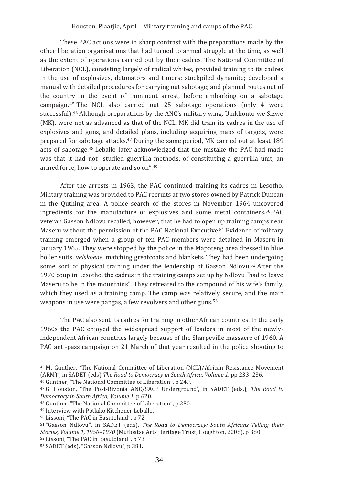These PAC actions were in sharp contrast with the preparations made by the other liberation organisations that had turned to armed struggle at the time, as well as the extent of operations carried out by their cadres. The National Committee of Liberation (NCL), consisting largely of radical whites, provided training to its cadres in the use of explosives, detonators and timers: stockpiled dynamite: developed a manual with detailed procedures for carrying out sabotage; and planned routes out of the country in the event of imminent arrest, before embarking on a sabotage campaign.<sup>45</sup> The NCL also carried out 25 sabotage operations (only 4 were successful).<sup>46</sup> Although preparations by the ANC's military wing, Umkhonto we Sizwe (MK), were not as advanced as that of the NCL, MK did train its cadres in the use of explosives and guns, and detailed plans, including acquiring maps of targets, were prepared for sabotage attacks.<sup>47</sup> During the same period, MK carried out at least 189 acts of sabotage.<sup>48</sup> Leballo later acknowledged that the mistake the PAC had made was that it had not "studied guerrilla methods, of constituting a guerrilla unit. an armed force, how to operate and so on".49

After the arrests in 1963, the PAC continued training its cadres in Lesotho. Military training was provided to PAC recruits at two stores owned by Patrick Duncan in the Quthing area. A police search of the stores in November 1964 uncovered ingredients for the manufacture of explosives and some metal containers.<sup>50</sup> PAC veteran Gasson Ndlovu recalled, however, that he had to open up training camps near Maseru without the permission of the PAC National Executive.<sup>51</sup> Evidence of military training emerged when a group of ten PAC members were detained in Maseru in January 1965. They were stopped by the police in the Mapoteng area dressed in blue boiler suits, velskoene, matching greatcoats and blankets. They had been undergoing some sort of physical training under the leadership of Gasson Ndlovu.<sup>52</sup> After the 1970 coup in Lesotho, the cadres in the training camps set up by Ndlovu "had to leave Maseru to be in the mountains". They retreated to the compound of his wife's family. which they used as a training camp. The camp was relatively secure, and the main weapons in use were pangas, a few revolvers and other guns.<sup>53</sup>

The PAC also sent its cadres for training in other African countries. In the early 1960s the PAC enjoyed the widespread support of leaders in most of the newlyindependent African countries largely because of the Sharpeville massacre of 1960. A PAC anti-pass campaign on 21 March of that year resulted in the police shooting to

<sup>46</sup> Gunther. "The National Committee of Liberation", p 249.

<sup>&</sup>lt;sup>45</sup> M. Gunther, "The National Committee of Liberation (NCL)/African Resistance Movement (ARM)". in SADET (eds) The Road to Democracy in South Africa. Volume 1, pp 233-236.

<sup>&</sup>lt;sup>47</sup> G. Houston, 'The Post-Rivonia ANC/SACP Underground', in SADET (eds.), The Road to Democracy in South Africa, Volume 1, p 620.

<sup>&</sup>lt;sup>48</sup> Gunther. "The National Committee of Liberation", p 250.

<sup>&</sup>lt;sup>49</sup> Interview with Potlako Kitchener Leballo.

<sup>&</sup>lt;sup>50</sup> Lissoni. "The PAC in Basutoland", p 72.

<sup>&</sup>lt;sup>51</sup> "Gasson Ndlovu", in SADET (eds), The Road to Democracy: South Africans Telling their Stories, Volume 1, 1950-1970 (Mutloatse Arts Heritage Trust, Houghton, 2008), p 380. <sup>52</sup> Lissoni. "The PAC in Basutoland", p 73.

<sup>&</sup>lt;sup>53</sup> SADET (eds), "Gasson Ndlovu", p 381.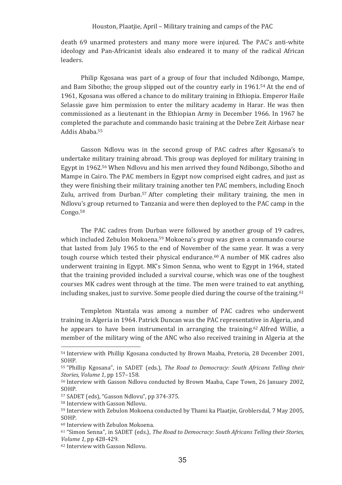death 69 unarmed protesters and many more were injured. The PAC's anti-white ideology and Pan-Africanist ideals also endeared it to many of the radical African leaders.

Philip Kgosana was part of a group of four that included Ndibongo, Mampe, and Bam Sibotho; the group slipped out of the country early in 1961.<sup>54</sup> At the end of 1961, Kgosana was offered a chance to do military training in Ethiopia. Emperor Haile Selassie gave him permission to enter the military academy in Harar. He was then commissioned as a lieutenant in the Ethiopian Army in December 1966. In 1967 he completed the parachute and commando basic training at the Debre Zeit Airbase near Addis Ababa.<sup>55</sup>

Gasson Ndlovu was in the second group of PAC cadres after Kgosana's to undertake military training abroad. This group was deployed for military training in Egypt in 1962.56 When Ndlovu and his men arrived they found Ndibongo, Sibotho and Mampe in Cairo. The PAC members in Egypt now comprised eight cadres, and just as they were finishing their military training another ten PAC members, including Enoch Zulu, arrived from Durban.<sup>57</sup> After completing their military training, the men in Ndlovu's group returned to Tanzania and were then deployed to the PAC camp in the Congo.<sup>58</sup>

The PAC cadres from Durban were followed by another group of 19 cadres, which included Zebulon Mokoena.<sup>s9</sup> Mokoena's group was given a commando course that lasted from July 1965 to the end of November of the same year. It was a very tough course which tested their physical endurance.<sup>60</sup> A number of MK cadres also underwent training in Egypt. MK's Simon Senna, who went to Egypt in 1964, stated that the training provided included a survival course, which was one of the toughest courses MK cadres went through at the time. The men were trained to eat anything, including snakes, just to survive. Some people died during the course of the training.<sup>61</sup>

Templeton Ntantala was among a number of PAC cadres who underwent training in Algeria in 1964. Patrick Duncan was the PAC representative in Algeria, and he appears to have been instrumental in arranging the training.<sup>62</sup> Alfred Willie, a member of the military wing of the ANC who also received training in Algeria at the

<sup>&</sup>lt;sup>54</sup> Interview with Phillip Kgosana conducted by Brown Maaba, Pretoria, 28 December 2001, SOHP.

<sup>&</sup>lt;sup>55</sup> "Phillip Kgosana", in SADET (eds.), *The Road to Democracy: South Africans Telling their Stories, Volume 1, pp 157-158.* 

<sup>&</sup>lt;sup>56</sup> Interview with Gasson Ndlovu conducted by Brown Maaba, Cape Town, 26 January 2002, SOHP.

<sup>&</sup>lt;sup>57</sup> SADET (eds), "Gasson Ndlovu", pp 374-375.

<sup>&</sup>lt;sup>58</sup> Interview with Gasson Ndlovu.

<sup>&</sup>lt;sup>59</sup> Interview with Zebulon Mokoena conducted by Thami ka Plaatjie, Groblersdal, 7 May 2005, SOHP.

<sup>&</sup>lt;sup>60</sup> Interview with Zebulon Mokoena.

<sup>&</sup>lt;sup>61</sup> "Simon Senna", in SADET (eds.), *The Road to Democracy: South Africans Telling their Stories, Volume* 1, pp 428-429.

<sup>&</sup>lt;sup>62</sup> Interview with Gasson Ndlovu.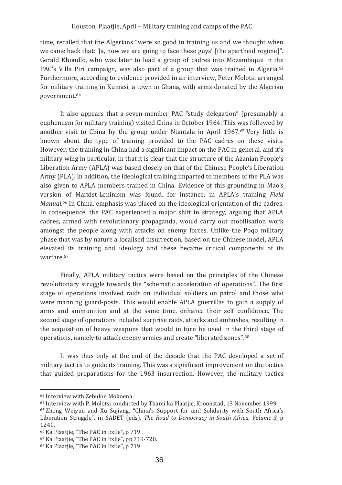time, recalled that the Algerians "were so good in training us and we thought when we came back that: '[a, now we are going to face these guys' [the apartheid regime]". Gerald Khondlo, who was later to lead a group of cadres into Mozambique in the PAC's Villa Piri campaign, was also part of a group that was trained in Algeria.<sup>63</sup> Furthermore, according to evidence provided in an interview. Peter Molotsi arranged for military training in Kumasi, a town in Ghana, with arms donated by the Algerian government.<sup>64</sup>

It also appears that a seven-member PAC "study delegation" (presumably a euphemism for military training) visited China in October 1964. This was followed by another visit to China by the group under Ntantala in April 1967.<sup>65</sup> Very little is known about the type of training provided to the PAC cadres on these visits. However, the training in China had a significant impact on the PAC in general, and it's military wing in particular, in that it is clear that the structure of the Azanian People's Liberation Army (APLA) was based closely on that of the Chinese People's Liberation Army (PLA). In addition, the ideological training imparted to members of the PLA was also given to APLA members trained in China. Evidence of this grounding in Mao's version of Marxist-Leninism was found, for instance, in APLA's training Field Manual.<sup>66</sup> In China, emphasis was placed on the ideological orientation of the cadres. In consequence, the PAC experienced a major shift in strategy, arguing that APLA cadres, armed with revolutionary propaganda, would carry out mobilisation work amongst the people along with attacks on enemy forces. Unlike the Poqo military phase that was by nature a localised insurrection, based on the Chinese model, APLA elevated its training and ideology and these became critical components of its  $warf$ are  $67$ 

Finally, APLA military tactics were based on the principles of the Chinese revolutionary struggle towards the "schematic acceleration of operations". The first stage of operations involved raids on individual soldiers on patrol and those who were manning guard-posts. This would enable APLA guerrillas to gain a supply of arms and ammunition and at the same time, enhance their self confidence. The second stage of operations included surprise raids, attacks and ambushes, resulting in the acquisition of heavy weapons that would in turn be used in the third stage of operations, namely to attack enemy armies and create "liberated zones".<sup>68</sup>

It was thus only at the end of the decade that the PAC developed a set of military tactics to guide its training. This was a significant improvement on the tactics that guided preparations for the 1963 insurrection. However, the military tactics

<sup>&</sup>lt;sup>63</sup> Interview with Zebulon Mokoena.

<sup>&</sup>lt;sup>64</sup> Interview with P. Molotsi conducted by Thami ka Plaatiie. Kroonstad, 13 November 1999.

<sup>&</sup>lt;sup>65</sup> Zhong Weiyun and Xu Sujiang, "China's Support for and Solidarity with South Africa's Liberation Struggle", in SADET (eds). The Road to Democracy in South Africa. Volume 3, p. 1241.

<sup>&</sup>lt;sup>66</sup> Ka Plaatjie, "The PAC in Exile", p 719.

<sup>&</sup>lt;sup>67</sup> Ka Plaatije. "The PAC in Exile", pp 719-720.

<sup>&</sup>lt;sup>68</sup> Ka Plaatjie, "The PAC in Exile", p 719.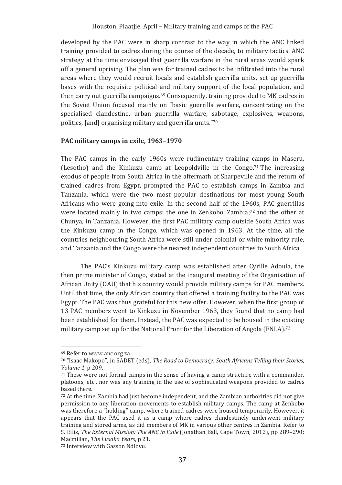developed by the PAC were in sharp contrast to the way in which the ANC linked training provided to cadres during the course of the decade, to military tactics. ANC strategy at the time envisaged that guerrilla warfare in the rural areas would spark off a general uprising. The plan was for trained cadres to be infiltrated into the rural areas where they would recruit locals and establish guerrilla units, set up guerrilla bases with the requisite political and military support of the local population, and then carry out guerrilla campaigns.<sup>69</sup> Consequently, training provided to MK cadres in the Soviet Union focused mainly on "basic guerrilla warfare, concentrating on the specialised clandestine, urban guerrilla warfare, sabotage, explosives, weapons, politics, [and] organising military and guerrilla units."70

## PAC military camps in exile, 1963-1970

The PAC camps in the early 1960s were rudimentary training camps in Maseru. (Lesotho) and the Kinkuzu camp at Leopoldville in the Congo.<sup>71</sup> The increasing exodus of people from South Africa in the aftermath of Sharpeville and the return of trained cadres from Egypt, prompted the PAC to establish camps in Zambia and Tanzania, which were the two most popular destinations for most young South Africans who were going into exile. In the second half of the 1960s, PAC guerrillas were located mainly in two camps: the one in Zenkobo. Zambia:<sup>72</sup> and the other at Chunya, in Tanzania. However, the first PAC military camp outside South Africa was the Kinkuzu camp in the Congo, which was opened in 1963. At the time, all the countries neighbouring South Africa were still under colonial or white minority rule. and Tanzania and the Congo were the nearest independent countries to South Africa.

The PAC's Kinkuzu military camp was established after Cyrille Adoula, the then prime minister of Congo, stated at the inaugural meeting of the Organisation of African Unity (OAU) that his country would provide military camps for PAC members. Until that time, the only African country that offered a training facility to the PAC was Egypt. The PAC was thus grateful for this new offer. However, when the first group of 13 PAC members went to Kinkuzu in November 1963, they found that no camp had been established for them. Instead, the PAC was expected to be housed in the existing military camp set up for the National Front for the Liberation of Angola (FNLA).<sup>73</sup>

<sup>69</sup> Refer to www.anc.org.za.

<sup>70 &</sup>quot;Isaac Makopo", in SADET (eds), The Road to Democracy: South Africans Telling their Stories, Volume 1, p 209.

 $71$  These were not formal camps in the sense of having a camp structure with a commander. platoons, etc., nor was any training in the use of sophisticated weapons provided to cadres based there.

<sup>72</sup> At the time, Zambia had just become independent, and the Zambian authorities did not give permission to any liberation movements to establish military camps. The camp at Zenkobo was therefore a "holding" camp, where trained cadres were housed temporarily. However, it appears that the PAC used it as a camp where cadres clandestinely underwent military training and stored arms, as did members of MK in various other centres in Zambia. Refer to S. Ellis, The External Mission: The ANC in Exile (Jonathan Ball, Cape Town, 2012), pp 289–290; Macmillan. The Lusaka Years, p 21.

<sup>73</sup> Interview with Gasson Ndlovu.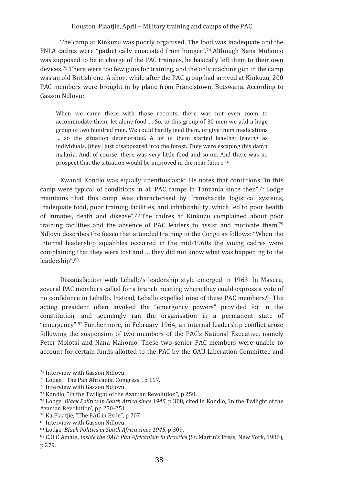The camp at Kinkuzu was poorly organised. The food was inadequate and the FNLA cadres were "pathetically emaciated from hunger".74 Although Nana Mohomo was supposed to be in charge of the PAC trainees, he basically left them to their own devices.<sup>75</sup> There were too few guns for training, and the only machine gun in the camp was an old British one. A short while after the PAC group had arrived at Kinkuzu, 200 PAC members were brought in by plane from Francistown, Botswana. According to Gasson Ndlovu:

When we came there with those recruits, there was not even room to accommodate them, let alone food ... So, to this group of 30 men we add a huge group of two hundred men. We could hardly feed them, or give them medications ... so the situation deteriorated. A lot of them started leaving: leaving as individuals, [they] just disappeared into the forest. They were escaping this damn malaria. And, of course, there was very little food and so on. And there was no prospect that the situation would be improved in the near future.<sup>76</sup>

Kwandi Kondlo was equally unenthusiastic. He notes that conditions "in this camp were typical of conditions in all PAC camps in Tanzania since then".<sup>77</sup> Lodge maintains that this camp was characterised by "ramshackle logistical systems, inadequate food, poor training facilities, and inhabitability, which led to poor health of inmates, death and disease".78 The cadres at Kinkuzu complained about poor training facilities and the absence of PAC leaders to assist and motivate them.<sup>79</sup> Ndlovu describes the fiasco that attended training in the Congo as follows: "When the internal leadership squabbles occurred in the mid-1960s the young cadres were complaining that they were lost and ... they did not know what was happening to the leadership".80

Dissatisfaction with Leballo's leadership style emerged in 1963. In Maseru, several PAC members called for a branch meeting where they could express a vote of no confidence in Leballo. Instead, Leballo expelled nine of these PAC members.<sup>81</sup> The acting president often invoked the "emergency powers" provided for in the constitution, and seemingly ran the organisation in a permanent state of "emergency",<sup>82</sup> Furthermore, in February 1964, an internal leadership conflict arose following the suspension of two members of the PAC's National Executive, namely Peter Molotsi and Nana Mahomo. These two senior PAC members were unable to account for certain funds allotted to the PAC by the OAU Liberation Committee and

<sup>74</sup> Interview with Gasson Ndlovu.

<sup>&</sup>lt;sup>75</sup> Lodge. "The Pan Africanist Congress", p 117.

<sup>&</sup>lt;sup>76</sup> Interview with Gasson Ndlovu.

<sup>77</sup> Kondlo, "In the Twilight of the Azanian Revolution", p 250.

<sup>78</sup> Lodge, Black Politics in South Africa since 1945, p 308, cited in Kondlo. 'In the Twilight of the Azanian Revolution', pp 250-251.

<sup>79</sup> Ka Plaatiie. "The PAC in Exile", p 707.

<sup>80</sup> Interview with Gasson Ndlovu.

<sup>81</sup> Lodge, Black Politics in South Africa since 1945, p 309.

<sup>&</sup>lt;sup>82</sup> C.O.C Amate, *Inside the OAU: Pan Africanism in Practice* (St. Martin's Press, New York, 1986), p 279.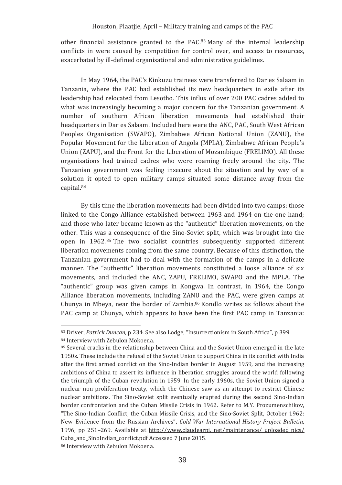other financial assistance granted to the PAC.<sup>83</sup> Many of the internal leadership conflicts in were caused by competition for control over, and access to resources, exacerbated by ill-defined organisational and administrative guidelines.

In May 1964, the PAC's Kinkuzu trainees were transferred to Dar es Salaam in Tanzania, where the PAC had established its new headquarters in exile after its leadership had relocated from Lesotho. This influx of over 200 PAC cadres added to what was increasingly becoming a major concern for the Tanzanian government. A number of southern African liberation movements had established their headquarters in Dar es Salaam. Included here were the ANC, PAC, South West African Peoples Organisation (SWAPO), Zimbabwe African National Union (ZANU), the Popular Movement for the Liberation of Angola (MPLA). Zimbabwe African People's Union (ZAPU), and the Front for the Liberation of Mozambique (FRELIMO). All these organisations had trained cadres who were roaming freely around the city. The Tanzanian government was feeling insecure about the situation and by way of a solution it opted to open military camps situated some distance away from the capital.<sup>84</sup>

By this time the liberation movements had been divided into two camps: those linked to the Congo Alliance established between 1963 and 1964 on the one hand: and those who later became known as the "authentic" liberation movements, on the other. This was a consequence of the Sino-Soviet split, which was brought into the open in 1962.<sup>85</sup> The two socialist countries subsequently supported different liberation movements coming from the same country. Because of this distinction, the Tanzanian government had to deal with the formation of the camps in a delicate manner. The "authentic" liberation movements constituted a loose alliance of six movements, and included the ANC, ZAPU, FRELIMO, SWAPO and the MPLA. The "authentic" group was given camps in Kongwa. In contrast, in 1964, the Congo Alliance liberation movements, including ZANU and the PAC, were given camps at Chunya in Mbeya, near the border of Zambia.<sup>86</sup> Kondlo writes as follows about the PAC camp at Chunya, which appears to have been the first PAC camp in Tanzania:

<sup>83</sup> Driver, Patrick Duncan, p 234. See also Lodge, "Insurrectionism in South Africa", p 399. 84 Interview with Zebulon Mokoena.

<sup>85</sup> Several cracks in the relationship between China and the Soviet Union emerged in the late 1950s. These include the refusal of the Soviet Union to support China in its conflict with India after the first armed conflict on the Sino-Indian border in August 1959, and the increasing ambitions of China to assert its influence in liberation struggles around the world following the triumph of the Cuban revolution in 1959. In the early 1960s, the Soviet Union signed a nuclear non-proliferation treaty, which the Chinese saw as an attempt to restrict Chinese nuclear ambitions. The Sino-Soviet split eventually erupted during the second Sino-Indian border confrontation and the Cuban Missile Crisis in 1962. Refer to M.Y. Prozumenschikov, "The Sino-Indian Conflict, the Cuban Missile Crisis, and the Sino-Soviet Split, October 1962; New Evidence from the Russian Archives", Cold War International History Project Bulletin, 1996, pp 251-269. Available at http://www.claudearpi. net/maintenance/ uploaded pics/ Cuba and SinoIndian conflict.pdf Accessed 7 June 2015.

<sup>86</sup> Interview with Zebulon Mokoena.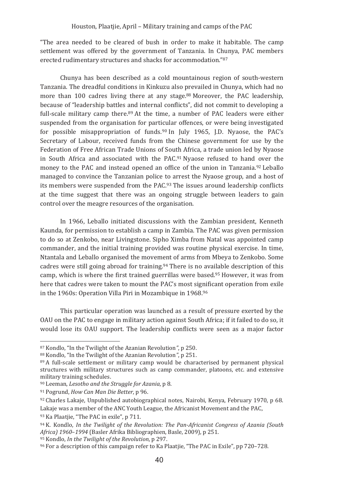"The area needed to be cleared of bush in order to make it habitable. The camp settlement was offered by the government of Tanzania. In Chunya, PAC members erected rudimentary structures and shacks for accommodation."87

Chunya has been described as a cold mountainous region of south-western Tanzania. The dreadful conditions in Kinkuzu also prevailed in Chunya, which had no more than 100 cadres living there at any stage.88 Moreover, the PAC leadership, because of "leadership battles and internal conflicts", did not commit to developing a full-scale military camp there.<sup>89</sup> At the time, a number of PAC leaders were either suspended from the organisation for particular offences, or were being investigated for possible misappropriation of funds.<sup>90</sup> In July 1965, I.D. Nyaose, the PAC's Secretary of Labour, received funds from the Chinese government for use by the Federation of Free African Trade Unions of South Africa, a trade union led by Nyaose in South Africa and associated with the PAC.<sup>91</sup> Nyaose refused to hand over the money to the PAC and instead opened an office of the union in Tanzania.92 Leballo managed to convince the Tanzanian police to arrest the Nyaose group, and a host of its members were suspended from the PAC.<sup>93</sup> The issues around leadership conflicts at the time suggest that there was an ongoing struggle between leaders to gain control over the meagre resources of the organisation.

In 1966, Leballo initiated discussions with the Zambian president, Kenneth Kaunda, for permission to establish a camp in Zambia. The PAC was given permission to do so at Zenkobo, near Livingstone. Sipho Ximba from Natal was appointed camp commander, and the initial training provided was routine physical exercise. In time, Ntantala and Leballo organised the movement of arms from Mbeya to Zenkobo. Some cadres were still going abroad for training.<sup>94</sup> There is no available description of this camp, which is where the first trained guerrillas were based.<sup>95</sup> However, it was from here that cadres were taken to mount the PAC's most significant operation from exile in the 1960s: Operation Villa Piri in Mozambique in 1968.96

This particular operation was launched as a result of pressure exerted by the OAU on the PAC to engage in military action against South Africa: if it failed to do so, it would lose its OAU support. The leadership conflicts were seen as a major factor

<sup>87</sup> Kondlo, "In the Twilight of the Azanian Revolution", p 250.

<sup>88</sup> Kondlo, "In the Twilight of the Azanian Revolution", p 251.

<sup>89</sup> A full-scale settlement or military camp would be characterised by permanent physical structures with military structures such as camp commander, platoons, etc. and extensive military training schedules.

<sup>&</sup>lt;sup>90</sup> Leeman, Lesotho and the Struggle for Azania, p 8.

<sup>91</sup> Pogrund, How Can Man Die Better, p 96.

<sup>92</sup> Charles Lakaje, Unpublished autobiographical notes, Nairobi, Kenya, February 1970, p 68. Lakaje was a member of the ANC Youth League, the Africanist Movement and the PAC,

<sup>93</sup> Ka Plaatjie, "The PAC in exile", p 711.

<sup>94</sup> K. Kondlo, In the Twilight of the Revolution: The Pan-Africanist Congress of Azania (South Africa) 1960-1994 (Basler Afrika Bibliographien, Basle, 2009), p 251.

<sup>95</sup> Kondlo. In the Twiliaht of the Revolution, p 297.

<sup>&</sup>lt;sup>96</sup> For a description of this campaign refer to Ka Plaatjie, "The PAC in Exile", pp 720-728.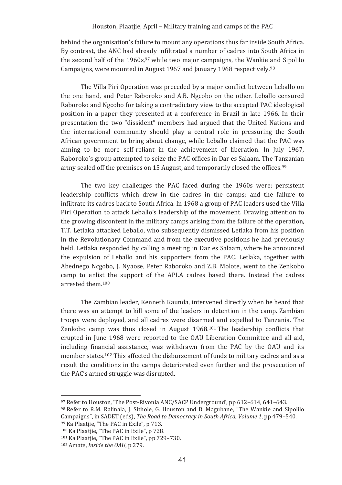behind the organisation's failure to mount any operations thus far inside South Africa. By contrast, the ANC had already infiltrated a number of cadres into South Africa in the second half of the 1960s,<sup>97</sup> while two major campaigns, the Wankie and Sipolilo Campaigns, were mounted in August 1967 and January 1968 respectively.98

The Villa Piri Operation was preceded by a major conflict between Leballo on the one hand, and Peter Raboroko and A.B. Ngcobo on the other. Leballo censured Raboroko and Ngcobo for taking a contradictory view to the accepted PAC ideological position in a paper they presented at a conference in Brazil in late 1966. In their presentation the two "dissident" members had argued that the United Nations and the international community should play a central role in pressuring the South African government to bring about change, while Leballo claimed that the PAC was aiming to be more self-reliant in the achievement of liberation. In July 1967, Raboroko's group attempted to seize the PAC offices in Dar es Salaam. The Tanzanian army sealed off the premises on 15 August, and temporarily closed the offices.<sup>99</sup>

The two key challenges the PAC faced during the 1960s were: persistent leadership conflicts which drew in the cadres in the camps; and the failure to infiltrate its cadres back to South Africa. In 1968 a group of PAC leaders used the Villa Piri Operation to attack Leballo's leadership of the movement. Drawing attention to the growing discontent in the military camps arising from the failure of the operation, T.T. Letlaka attacked Leballo, who subsequently dismissed Letlaka from his position in the Revolutionary Command and from the executive positions he had previously held. Letlaka responded by calling a meeting in Dar es Salaam, where he announced the expulsion of Leballo and his supporters from the PAC. Letlaka, together with Abednego Ncgobo, J. Nyaose, Peter Raboroko and Z.B. Molote, went to the Zenkobo camp to enlist the support of the APLA cadres based there. Instead the cadres arrested them.<sup>100</sup>

The Zambian leader, Kenneth Kaunda, intervened directly when he heard that there was an attempt to kill some of the leaders in detention in the camp. Zambian troops were deployed, and all cadres were disarmed and expelled to Tanzania. The Zenkobo camp was thus closed in August 1968.<sup>101</sup> The leadership conflicts that erupted in June 1968 were reported to the OAU Liberation Committee and all aid. including financial assistance, was withdrawn from the PAC by the OAU and its member states.<sup>102</sup> This affected the disbursement of funds to military cadres and as a result the conditions in the camps deteriorated even further and the prosecution of the PAC's armed struggle was disrupted.

<sup>&</sup>lt;sup>97</sup> Refer to Houston. 'The Post-Rivonia ANC/SACP Underground', pp 612-614, 641-643.

<sup>98</sup> Refer to R.M. Ralinala, J. Sithole, G. Houston and B. Magubane, "The Wankie and Sipolilo" Campaigns", in SADET (eds). The Road to Democracy in South Africa. Volume 1, pp 479-540. 99 Ka Plaatjie, "The PAC in Exile", p 713.

<sup>100</sup> Ka Plaatjie, "The PAC in Exile", p 728.

<sup>101</sup> Ka Plaatjie, "The PAC in Exile", pp 729-730.

<sup>&</sup>lt;sup>102</sup> Amate, *Inside the OAU*, p 279.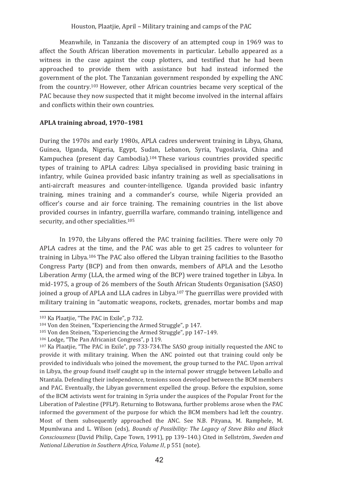Meanwhile, in Tanzania the discovery of an attempted coup in 1969 was to affect the South African liberation movements in particular. Leballo appeared as a witness in the case against the coup plotters, and testified that he had been approached to provide them with assistance but had instead informed the government of the plot. The Tanzanian government responded by expelling the ANC from the country.<sup>103</sup> However, other African countries became very sceptical of the PAC because they now suspected that it might become involved in the internal affairs and conflicts within their own countries.

### APLA training abroad, 1970-1981

During the 1970s and early 1980s. APLA cadres underwent training in Libya. Ghana. Guinea, Uganda, Nigeria, Egypt, Sudan, Lebanon, Syria, Yugoslavia, China and Kampuchea (present day Cambodia).<sup>104</sup> These various countries provided specific types of training to APLA cadres: Libya specialised in providing basic training in infantry, while Guinea provided basic infantry training as well as specialisations in anti-aircraft measures and counter-intelligence. Uganda provided basic infantry training, mines training and a commander's course, while Nigeria provided an officer's course and air force training. The remaining countries in the list above provided courses in infantry, guerrilla warfare, commando training, intelligence and security, and other specialities.<sup>105</sup>

In 1970, the Libyans offered the PAC training facilities. There were only 70 APLA cadres at the time, and the PAC was able to get 25 cadres to volunteer for training in Libya.<sup>106</sup> The PAC also offered the Libyan training facilities to the Basotho Congress Party (BCP) and from then onwards, members of APLA and the Lesotho Liberation Army (LLA, the armed wing of the BCP) were trained together in Libya. In mid-1975, a group of 26 members of the South African Students Organisation (SASO) joined a group of APLA and LLA cadres in Libya.<sup>107</sup> The guerrillas were provided with military training in "automatic weapons, rockets, grenades, mortar bombs and map

<sup>103</sup> Ka Plaatjie, "The PAC in Exile", p 732.

<sup>&</sup>lt;sup>104</sup> Von den Steinen. "Experiencing the Armed Struggle", p 147.

<sup>&</sup>lt;sup>105</sup> Von den Steinen. "Experiencing the Armed Struggle", pp 147-149.

<sup>106</sup> Lodge, "The Pan Africanist Congress", p 119.

<sup>&</sup>lt;sup>107</sup> Ka Plaatjie, "The PAC in Exile", pp 733-734. The SASO group initially requested the ANC to provide it with military training. When the ANC pointed out that training could only be provided to individuals who joined the movement, the group turned to the PAC. Upon arrival in Libya, the group found itself caught up in the internal power struggle between Leballo and Ntantala. Defending their independence, tensions soon developed between the BCM members and PAC. Eventually, the Libyan government expelled the group. Before the expulsion, some of the BCM activists went for training in Syria under the auspices of the Popular Front for the Liberation of Palestine (PFLP). Returning to Botswana, further problems arose when the PAC informed the government of the purpose for which the BCM members had left the country. Most of them subsequently approached the ANC. See N.B. Pityana, M. Ramphele, M. Mpumlwana and L. Wilson (eds), Bounds of Possibility: The Legacy of Steve Biko and Black Consciousness (David Philip, Cape Town, 1991), pp 139-140.) Cited in Sellström, Sweden and National Liberation in Southern Africa, Volume II, p 551 (note).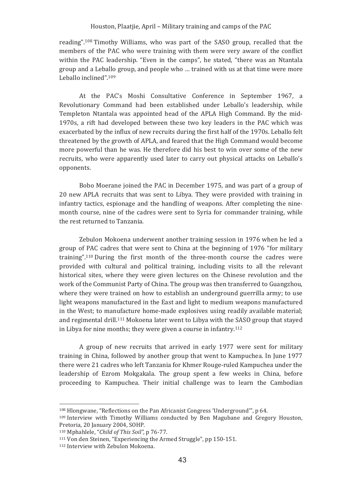reading".<sup>108</sup> Timothy Williams, who was part of the SASO group, recalled that the members of the PAC who were training with them were very aware of the conflict within the PAC leadership. "Even in the camps", he stated, "there was an Ntantala group and a Leballo group, and people who ... trained with us at that time were more Leballo inclined".109

At the PAC's Moshi Consultative Conference in September 1967, a Revolutionary Command had been established under Leballo's leadership, while Templeton Ntantala was appointed head of the APLA High Command. By the mid-1970s, a rift had developed between these two key leaders in the PAC which was exacerbated by the influx of new recruits during the first half of the 1970s. Leballo felt threatened by the growth of APLA, and feared that the High Command would become more powerful than he was. He therefore did his best to win over some of the new recruits, who were apparently used later to carry out physical attacks on Leballo's opponents.

Bobo Moerane joined the PAC in December 1975, and was part of a group of 20 new APLA recruits that was sent to Libya. They were provided with training in infantry tactics, espionage and the handling of weapons. After completing the ninemonth course, nine of the cadres were sent to Syria for commander training, while the rest returned to Tanzania.

Zebulon Mokoena underwent another training session in 1976 when he led a group of PAC cadres that were sent to China at the beginning of 1976 "for military training".<sup>110</sup> During the first month of the three-month course the cadres were provided with cultural and political training, including visits to all the relevant historical sites, where they were given lectures on the Chinese revolution and the work of the Communist Party of China. The group was then transferred to Guangzhou. where they were trained on how to establish an underground guerrilla army: to use light weapons manufactured in the East and light to medium weapons manufactured in the West; to manufacture home-made explosives using readily available material; and regimental drill.<sup>111</sup> Mokoena later went to Libya with the SASO group that staved in Libya for nine months; they were given a course in infantry.<sup>112</sup>

A group of new recruits that arrived in early 1977 were sent for military training in China, followed by another group that went to Kampuchea. In June 1977 there were 21 cadres who left Tanzania for Khmer Rouge-ruled Kampuchea under the leadership of Ezrom Mokgakala. The group spent a few weeks in China, before proceeding to Kampuchea. Their initial challenge was to learn the Cambodian

<sup>&</sup>lt;sup>108</sup> Hlongwane. "Reflections on the Pan Africanist Congress 'Underground'", p 64.

<sup>&</sup>lt;sup>109</sup> Interview with Timothy Williams conducted by Ben Magubane and Gregory Houston. Pretoria, 20 January 2004, SOHP.

<sup>110</sup> Mphahlele, "Child of This Soil", p 76-77.

 $111$  Von den Steinen. "Experiencing the Armed Struggle", pp 150-151.

<sup>&</sup>lt;sup>112</sup> Interview with Zebulon Mokoena.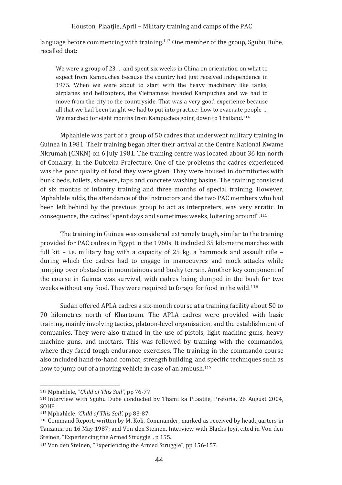language before commencing with training.<sup>113</sup> One member of the group, Sgubu Dube, recalled that:

We were a group of 23 ... and spent six weeks in China on orientation on what to expect from Kampuchea because the country had just received independence in 1975. When we were about to start with the heavy machinery like tanks, airplanes and helicopters, the Vietnamese invaded Kampuchea and we had to move from the city to the countryside. That was a very good experience because all that we had been taught we had to put into practice: how to evacuate people ... We marched for eight months from Kampuchea going down to Thailand.<sup>114</sup>

Mphahlele was part of a group of 50 cadres that underwent military training in Guinea in 1981. Their training began after their arrival at the Centre National Kwame Nkrumah (CNKN) on 6 July 1981. The training centre was located about 36 km north of Conakry, in the Dubreka Prefecture. One of the problems the cadres experienced was the poor quality of food they were given. They were housed in dormitories with bunk beds, toilets, showers, taps and concrete washing basins. The training consisted of six months of infantry training and three months of special training. However, Mphahlele adds, the attendance of the instructors and the two PAC members who had been left behind by the previous group to act as interpreters, was very erratic. In consequence, the cadres "spent days and sometimes weeks, loitering around".<sup>115</sup>

The training in Guinea was considered extremely tough, similar to the training provided for PAC cadres in Egypt in the 1960s. It included 35 kilometre marches with full kit – i.e. military bag with a capacity of 25 kg, a hammock and assault rifle – during which the cadres had to engage in manoeuvres and mock attacks while jumping over obstacles in mountainous and bushy terrain. Another key component of the course in Guinea was survival, with cadres being dumped in the bush for two weeks without any food. They were required to forage for food in the wild.<sup>116</sup>

Sudan offered APLA cadres a six-month course at a training facility about 50 to 70 kilometres north of Khartoum. The APLA cadres were provided with basic training, mainly involving tactics, platoon-level organisation, and the establishment of companies. They were also trained in the use of pistols, light machine guns, heavy machine guns, and mortars. This was followed by training with the commandos, where they faced tough endurance exercises. The training in the commando course also included hand-to-hand combat, strength building, and specific techniques such as how to jump out of a moving vehicle in case of an ambush.<sup>117</sup>

<sup>113</sup> Mphahlele, "Child of This Soil", pp 76-77.

<sup>&</sup>lt;sup>114</sup> Interview with Sgubu Dube conducted by Thami ka PLaatjie, Pretoria, 26 August 2004, SOHP.

<sup>&</sup>lt;sup>115</sup> Mphahlele, 'Child of This Soil', pp 83-87.

<sup>&</sup>lt;sup>116</sup> Command Report, written by M. Koli, Commander, marked as received by headquarters in Tanzania on 16 May 1987; and Von den Steinen, Interview with Blacks Joyi, cited in Von den Steinen, "Experiencing the Armed Struggle", p 155.

<sup>&</sup>lt;sup>117</sup> Von den Steinen. "Experiencing the Armed Struggle", pp 156-157.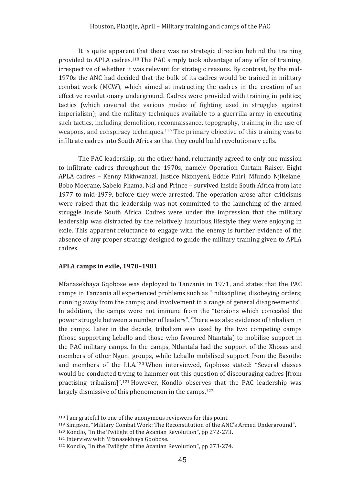It is quite apparent that there was no strategic direction behind the training provided to APLA cadres.<sup>118</sup> The PAC simply took advantage of any offer of training, irrespective of whether it was relevant for strategic reasons. By contrast, by the mid-1970s the ANC had decided that the bulk of its cadres would be trained in military combat work (MCW), which aimed at instructing the cadres in the creation of an effective revolutionary underground. Cadres were provided with training in politics; tactics (which covered the various modes of fighting used in struggles against imperialism); and the military techniques available to a guerrilla army in executing such tactics, including demolition, reconnaissance, topography, training in the use of weapons, and conspiracy techniques.<sup>119</sup> The primary objective of this training was to infiltrate cadres into South Africa so that they could build revolutionary cells.

The PAC leadership, on the other hand, reluctantly agreed to only one mission to infiltrate cadres throughout the 1970s, namely Operation Curtain Raiser. Eight APLA cadres - Kenny Mkhwanazi, Justice Nkonyeni, Eddie Phiri, Mfundo Njikelane, Bobo Moerane, Sabelo Phama, Nki and Prince - survived inside South Africa from late 1977 to mid-1979, before they were arrested. The operation arose after criticisms were raised that the leadership was not committed to the launching of the armed struggle inside South Africa. Cadres were under the impression that the military leadership was distracted by the relatively luxurious lifestyle they were enjoying in exile. This apparent reluctance to engage with the enemy is further evidence of the absence of any proper strategy designed to guide the military training given to APLA cadres

# APLA camps in exile. 1970-1981

Mfanasekhaya Gqobose was deployed to Tanzania in 1971, and states that the PAC camps in Tanzania all experienced problems such as "indiscipline; disobeying orders; running away from the camps; and involvement in a range of general disagreements". In addition, the camps were not immune from the "tensions which concealed the power struggle between a number of leaders". There was also evidence of tribalism in the camps. Later in the decade, tribalism was used by the two competing camps (those supporting Leballo and those who favoured Ntantala) to mobilise support in the PAC military camps. In the camps, Ntlantala had the support of the Xhosas and members of other Nguni groups, while Leballo mobilised support from the Basotho and members of the LLA.<sup>120</sup> When interviewed, Gqobose stated: "Several classes would be conducted trying to hammer out this question of discouraging cadres ffrom practising tribalism]".<sup>121</sup> However, Kondlo observes that the PAC leadership was largely dismissive of this phenomenon in the camps.<sup>122</sup>

<sup>&</sup>lt;sup>118</sup> I am grateful to one of the anonymous reviewers for this point.

<sup>&</sup>lt;sup>119</sup> Simpson, "Military Combat Work: The Reconstitution of the ANC's Armed Underground".

<sup>&</sup>lt;sup>120</sup> Kondlo, "In the Twilight of the Azanian Revolution", pp 272-273.

<sup>&</sup>lt;sup>121</sup> Interview with Mfanasekhava Ggobose.

<sup>&</sup>lt;sup>122</sup> Kondlo, "In the Twilight of the Azanian Revolution", pp 273-274.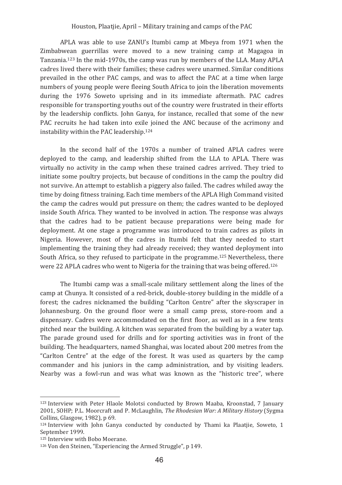APLA was able to use ZANU's Itumbi camp at Mbeya from 1971 when the Zimbabwean guerrillas were moved to a new training camp at Magagoa in Tanzania.<sup>123</sup> In the mid-1970s, the camp was run by members of the LLA. Many APLA cadres lived there with their families: these cadres were unarmed. Similar conditions prevailed in the other PAC camps, and was to affect the PAC at a time when large numbers of young people were fleeing South Africa to join the liberation movements during the 1976 Soweto uprising and in its immediate aftermath. PAC cadres responsible for transporting youths out of the country were frustrated in their efforts by the leadership conflicts. John Ganya, for instance, recalled that some of the new PAC recruits he had taken into exile joined the ANC because of the acrimony and instability within the PAC leadership.<sup>124</sup>

In the second half of the 1970s a number of trained APLA cadres were deployed to the camp, and leadership shifted from the LLA to APLA. There was virtually no activity in the camp when these trained cadres arrived. They tried to initiate some poultry projects, but because of conditions in the camp the poultry did not survive. An attempt to establish a piggery also failed. The cadres whiled away the time by doing fitness training. Each time members of the APLA High Command visited the camp the cadres would put pressure on them; the cadres wanted to be deployed inside South Africa. They wanted to be involved in action. The response was always that the cadres had to be patient because preparations were being made for deployment. At one stage a programme was introduced to train cadres as pilots in Nigeria. However, most of the cadres in Itumbi felt that they needed to start implementing the training they had already received; they wanted deployment into South Africa, so they refused to participate in the programme.<sup>125</sup> Nevertheless, there were 22 APLA cadres who went to Nigeria for the training that was being offered.<sup>126</sup>

The Itumbi camp was a small-scale military settlement along the lines of the camp at Chunya. It consisted of a red-brick, double-storey building in the middle of a forest; the cadres nicknamed the building "Carlton Centre" after the skyscraper in Johannesburg. On the ground floor were a small camp press, store-room and a dispensary. Cadres were accommodated on the first floor, as well as in a few tents pitched near the building. A kitchen was separated from the building by a water tap. The parade ground used for drills and for sporting activities was in front of the building. The headquarters, named Shanghai, was located about 200 metres from the "Carlton Centre" at the edge of the forest. It was used as quarters by the camp commander and his juniors in the camp administration, and by visiting leaders. Nearby was a fowl-run and was what was known as the "historic tree", where

<sup>&</sup>lt;sup>123</sup> Interview with Peter Hlaole Molotsi conducted by Brown Maaba, Kroonstad, 7 January 2001, SOHP; P.L. Moorcraft and P. McLaughlin, The Rhodesian War: A Military History (Sygma Collins, Glasgow, 1982), p 69.

<sup>&</sup>lt;sup>124</sup> Interview with John Ganya conducted by conducted by Thami ka Plaatjie, Soweto, 1 September 1999.

<sup>&</sup>lt;sup>125</sup> Interview with Bobo Moerane.

<sup>&</sup>lt;sup>126</sup> Von den Steinen, "Experiencing the Armed Struggle", p 149.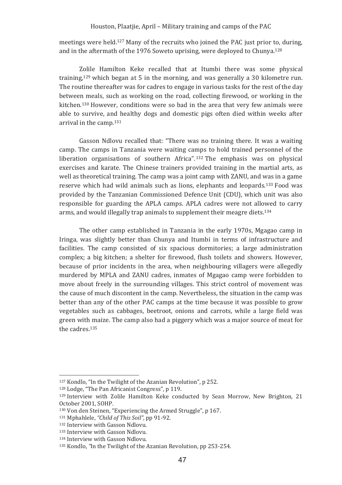meetings were held.<sup>127</sup> Many of the recruits who joined the PAC just prior to, during, and in the aftermath of the 1976 Soweto uprising, were deployed to Chunya.<sup>128</sup>

Zolile Hamilton Keke recalled that at Itumbi there was some physical training,  $129$  which began at 5 in the morning, and was generally a 30 kilometre run. The routine thereafter was for cadres to engage in various tasks for the rest of the day between meals, such as working on the road, collecting firewood, or working in the kitchen.<sup>130</sup> However, conditions were so bad in the area that very few animals were able to survive, and healthy dogs and domestic pigs often died within weeks after arrival in the camp.<sup>131</sup>

Gasson Ndlovu recalled that: "There was no training there. It was a waiting camp. The camps in Tanzania were waiting camps to hold trained personnel of the liberation organisations of southern Africa",<sup>132</sup> The emphasis was on physical exercises and karate. The Chinese trainers provided training in the martial arts, as well as theoretical training. The camp was a joint camp with ZANU, and was in a game reserve which had wild animals such as lions, elephants and leopards, <sup>133</sup> Food was provided by the Tanzanian Commissioned Defence Unit (CDU), which unit was also responsible for guarding the APLA camps. APLA cadres were not allowed to carry arms, and would illegally trap animals to supplement their meagre diets.<sup>134</sup>

The other camp established in Tanzania in the early 1970s, Mgagao camp in Iringa, was slightly better than Chunya and Itumbi in terms of infrastructure and facilities. The camp consisted of six spacious dormitories; a large administration complex; a big kitchen; a shelter for firewood, flush toilets and showers. However, because of prior incidents in the area, when neighbouring villagers were allegedly murdered by MPLA and ZANU cadres, inmates of Mgagao camp were forbidden to move about freely in the surrounding villages. This strict control of movement was the cause of much discontent in the camp. Nevertheless, the situation in the camp was better than any of the other PAC camps at the time because it was possible to grow vegetables such as cabbages, beetroot, onions and carrots, while a large field was green with maize. The camp also had a piggery which was a major source of meat for the cadres.<sup>135</sup>

<sup>&</sup>lt;sup>127</sup> Kondlo, "In the Twilight of the Azanian Revolution", p 252.

<sup>&</sup>lt;sup>128</sup> Lodge, "The Pan Africanist Congress", p 119.

<sup>&</sup>lt;sup>129</sup> Interview with Zolile Hamilton Keke conducted by Sean Morrow, New Brighton, 21 October 2001, SOHP.

<sup>&</sup>lt;sup>130</sup> Von den Steinen, "Experiencing the Armed Struggle", p 167.

<sup>&</sup>lt;sup>131</sup> Mphahlele, "Child of This Soil", pp 91-92.

<sup>&</sup>lt;sup>132</sup> Interview with Gasson Ndlovu.

<sup>&</sup>lt;sup>133</sup> Interview with Gasson Ndlovu.

<sup>&</sup>lt;sup>134</sup> Interview with Gasson Ndlovu.

<sup>&</sup>lt;sup>135</sup> Kondlo, "In the Twilight of the Azanian Revolution, pp 253-254.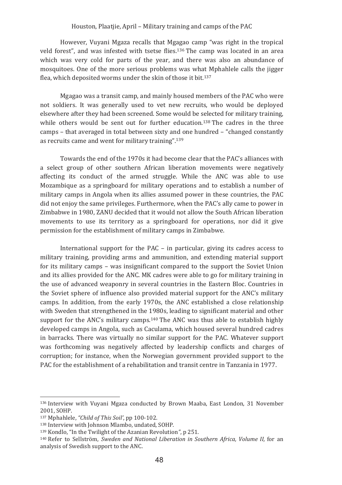However, Vuyani Mgaza recalls that Mgagao camp "was right in the tropical veld forest", and was infested with tsetse flies.<sup>136</sup> The camp was located in an area which was very cold for parts of the year, and there was also an abundance of mosquitoes. One of the more serious problems was what Mphahlele calls the jigger flea, which deposited worms under the skin of those it bit.<sup>137</sup>

Mgagao was a transit camp, and mainly housed members of the PAC who were not soldiers. It was generally used to vet new recruits, who would be deploved elsewhere after they had been screened. Some would be selected for military training, while others would be sent out for further education.<sup>138</sup> The cadres in the three camps – that averaged in total between sixty and one hundred – "changed constantly" as recruits came and went for military training".<sup>139</sup>

Towards the end of the 1970s it had become clear that the PAC's alliances with a select group of other southern African liberation movements were negatively affecting its conduct of the armed struggle. While the ANC was able to use Mozambique as a springboard for military operations and to establish a number of military camps in Angola when its allies assumed power in these countries, the PAC did not enjoy the same privileges. Furthermore, when the PAC's ally came to power in Zimbabwe in 1980. ZANU decided that it would not allow the South African liberation movements to use its territory as a springboard for operations, nor did it give permission for the establishment of military camps in Zimbabwe.

International support for the PAC – in particular, giving its cadres access to military training, providing arms and ammunition, and extending material support for its military camps – was insignificant compared to the support the Soviet Union and its allies provided for the ANC. MK cadres were able to go for military training in the use of advanced weaponry in several countries in the Eastern Bloc. Countries in the Soviet sphere of influence also provided material support for the ANC's military camps. In addition, from the early 1970s, the ANC established a close relationship with Sweden that strengthened in the 1980s, leading to significant material and other support for the ANC's military camps.<sup>140</sup> The ANC was thus able to establish highly developed camps in Angola, such as Caculama, which housed several hundred cadres in barracks. There was virtually no similar support for the PAC. Whatever support was forthcoming was negatively affected by leadership conflicts and charges of corruption; for instance, when the Norwegian government provided support to the PAC for the establishment of a rehabilitation and transit centre in Tanzania in 1977.

<sup>&</sup>lt;sup>136</sup> Interview with Vuyani Mgaza conducted by Brown Maaba, East London, 31 November 2001. SOHP.

<sup>&</sup>lt;sup>137</sup> Mphahlele. "Child of This Soil', pp 100-102.

<sup>&</sup>lt;sup>138</sup> Interview with Johnson Mlambo, undated, SOHP.

<sup>139</sup> Kondlo, "In the Twilight of the Azanian Revolution", p 251.

<sup>&</sup>lt;sup>140</sup> Refer to Sellström. Sweden and National Liberation in Southern Africa. Volume II. for an analysis of Swedish support to the ANC.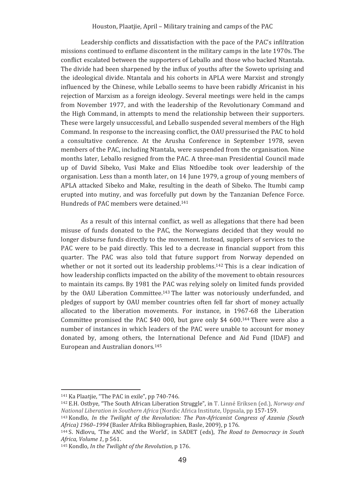Leadership conflicts and dissatisfaction with the pace of the PAC's infiltration missions continued to enflame discontent in the military camps in the late 1970s. The conflict escalated between the supporters of Leballo and those who backed Ntantala. The divide had been sharpened by the influx of vouths after the Soweto uprising and the ideological divide. Ntantala and his cohorts in APLA were Marxist and strongly influenced by the Chinese, while Leballo seems to have been rabidly Africanist in his rejection of Marxism as a foreign ideology. Several meetings were held in the camps from November 1977, and with the leadership of the Revolutionary Command and the High Command, in attempts to mend the relationship between their supporters. These were largely unsuccessful, and Leballo suspended several members of the High Command. In response to the increasing conflict, the OAU pressurised the PAC to hold a consultative conference. At the Arusha Conference in September 1978, seven members of the PAC, including Ntantala, were suspended from the organisation. Nine months later. Leballo resigned from the PAC. A three-man Presidential Council made up of David Sibeko, Vusi Make and Elias Ntloedibe took over leadership of the organisation. Less than a month later, on 14 June 1979, a group of young members of APLA attacked Sibeko and Make, resulting in the death of Sibeko. The Itumbi camp erupted into mutiny, and was forcefully put down by the Tanzanian Defence Force. Hundreds of PAC members were detained.<sup>141</sup>

As a result of this internal conflict, as well as allegations that there had been misuse of funds donated to the PAC, the Norwegians decided that they would no longer disburse funds directly to the movement. Instead, suppliers of services to the PAC were to be paid directly. This led to a decrease in financial support from this quarter. The PAC was also told that future support from Norway depended on whether or not it sorted out its leadership problems.<sup>142</sup> This is a clear indication of how leadership conflicts impacted on the ability of the movement to obtain resources to maintain its camps. By 1981 the PAC was relying solely on limited funds provided by the OAU Liberation Committee.<sup>143</sup> The latter was notoriously underfunded, and pledges of support by OAU member countries often fell far short of money actually allocated to the liberation movements. For instance, in 1967-68 the Liberation Committee promised the PAC \$40 000, but gave only \$4 600.<sup>144</sup> There were also a number of instances in which leaders of the PAC were unable to account for money donated by, among others, the International Defence and Aid Fund (IDAF) and European and Australian donors.<sup>145</sup>

<sup>141</sup> Ka Plaatjie, "The PAC in exile", pp 740-746.

<sup>&</sup>lt;sup>142</sup> E.H. Ostbye, "The South African Liberation Struggle", in T. Linné Eriksen (ed.), Norway and National Liberation in Southern Africa (Nordic Africa Institute, Uppsala, pp 157-159,

 $143$  Kondlo. In the Twiliaht of the Revolution: The Pan-Africanist Congress of Azania (South Africa) 1960-1994 (Basler Afrika Bibliographien, Basle, 2009), p 176.

<sup>144</sup> S. Ndlovu, 'The ANC and the World', in SADET (eds), The Road to Democracy in South Africa. Volume 1, p 561.

<sup>145</sup> Kondlo, In the Twilight of the Revolution, p 176.